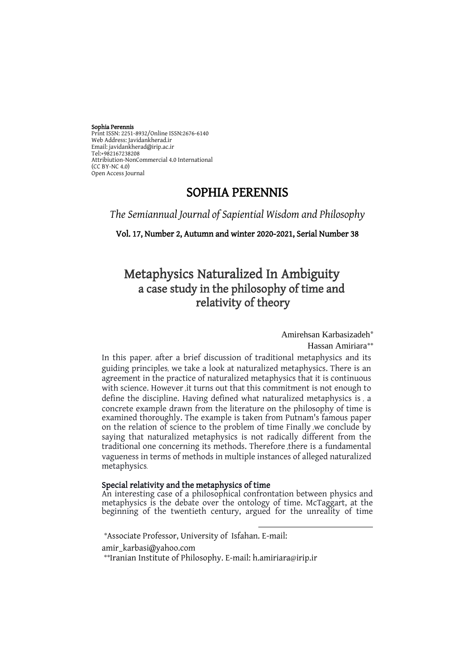#### Sophia Perennis

Print ISSN: 2251-8932/Online ISSN:2676-6140 Web Address: Javidankherad.ir Email[: javidankherad@irip.ac.ir](mailto:javidankherad@irip.ac.ir) [Tel:+982167238208](tel:+982167238208) Attribiution-NonCommercial 4.0 International (CC BY-NC 4.0) Open Access Journal

# SOPHIA PERENNIS

*The Semiannual Journal of Sapiential Wisdom and Philosophy*

Vol. 17, Number 2, Autumn and winter 2020-2021, Serial Number 38

# Metaphysics Naturalized In Ambiguity a case study in the philosophy of time and relativity of theory

Amirehsan Karbasizadeh<sup>\*</sup>

Hassan Amiriara\*\*

In this paper, after a brief discussion of traditional metaphysics and its guiding principles, we take a look at naturalized metaphysics. There is an agreement in the practice of naturalized metaphysics that it is continuous with science. However ,it turns out that this commitment is not enough to define the discipline. Having defined what naturalized metaphysics is , a concrete example drawn from the literature on the philosophy of time is examined thoroughly. The example is taken from Putnam's famous paper on the relation of science to the problem of time Finally ,we conclude by saying that naturalized metaphysics is not radically different from the traditional one concerning its methods. Therefore ,there is a fundamental vagueness in terms of methods in multiple instances of alleged naturalized metaphysics.

### Special relativity and the metaphysics of time

An interesting case of a philosophical confrontation between physics and metaphysics is the debate over the ontology of time. McTaggart, at the beginning of the twentieth century, argued for the unreality of time

l

\*Associate Professor, University of Isfahan. E-mail: amir\_karbasi@yahoo.com \*\*Iranian Institute of Philosophy. E-mail: h.amiriara@irip.ir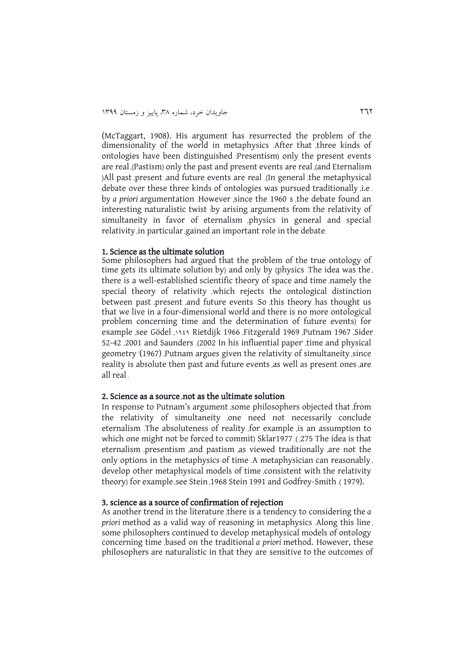(McTaggart, 1908). His argument has resurrected the problem of the dimensionality of the world in metaphysics . After that , three kinds of ontologies have been distinguished : Presentism) only the present events are real ,(Pastism) only the past and present events are real ,(and Eternalism ) All past , present , and future events are real .(In general , the metaphysical debate over these three kinds of ontologies was pursued traditionally *j.e.* by *a priori* argumentation . However , since the 1960 s , the debate found an interesting naturalistic twist :by arising arguments from the relativity of simultaneity in favor of eternalism , physics in general and special relativity, in particular, gained an important role in the debate.

### 1. Science as the ultimate solution

Some philosophers had argued that the problem of the true ontology of time gets its ultimate solution by) and only by (physics . The idea was the , there is a well-established scientific theory of space and time , namely the special theory of relativity , which rejects the ontological distinction between past present , and future events . So this theory has thought us that we live in a four-dimensional world and there is no more ontological problem concerning time and the determination of future events) for example , see Gödel , 9191 Rietdijk 1966 , Fitzgerald 1969 , Putnam 1967 , Sider 52-42 ,2001 and Saunders .) 2002 In his influential paper' , time and physical geometry '(1967) , Putnam argues given the relativity of simultaneity , since reality is absolute then past and future events as well as present ones are all real .

#### 2. Science as a source **,** not as the ultimate solution

In response to Putnam's argument , some philosophers objected that , from the relativity of simultaneity , one need not necessarily conclude eternalism . The absoluteness of reality , for example , is an assumption to which one might not be forced to commit) Sklar1977 .(275 The idea is that eternalism , presentism , and pastism , as viewed traditionally , are not the only options in the metaphysics of time . A metaphysician can reasonably , develop other metaphysical models of time consistent with the relativity theory) for example , see Stein , 1968 Stein 1991 and Godfrey-Smith .(1979).

# 3. science as a source of confirmation of rejection

As another trend in the literature , there is a tendency to considering the *a priori* method as a valid way of reasoning in metaphysics . Along this line , some philosophers continued to develop metaphysical models of ontology concerning time , based on the traditional *a priori* method. However, these philosophers are naturalistic in that they are sensitive to the outcomes of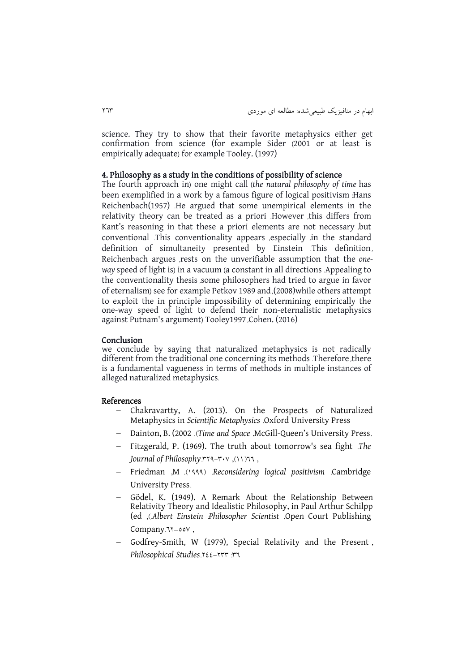science. They try to show that their favorite metaphysics either get confirmation from science (for example Sider (2001 or at least is empirically adequate) for example Tooley. (1997)

### 4. Philosophy as a study in the conditions of possibility of science

The fourth approach in) one might call (the natural philosophy of time has been exemplified in a work by a famous figure of logical positivism : Hans Reichenbach(1957) . He argued that some unempirical elements in the relativity theory can be treated as a priori . However , this differs from Kant's reasoning in that these a priori elements are not necessary , but conventional .This conventionality appears , especially , in the standard definition of simultaneity presented by Einstein This definition, Reichenbach argues , rests on the unverifiable assumption that the *oneway* speed of light is) in a vacuum (a constant in all directions . Appealing to the conventionality thesis , some philosophers had tried to argue in favor of eternalism) see for example Petkov 1989 and , (2008) while others attempt to exploit the in principle impossibility of determining empirically the one-way speed of light to defend their non-eternalistic metaphysics against Putnam's argument) Tooley1997 , Cohen. (2016)

#### Conclusion

we conclude by saying that naturalized metaphysics is not radically different from the traditional one concerning its methods . Therefore , there is a fundamental vagueness in terms of methods in multiple instances of alleged naturalized metaphysics.

#### References

- Chakravartty, A. (2013). On the Prospects of Naturalized Metaphysics in *Scientific Metaphysics* .Oxford University Press
- Dainton, B. (2002 .*(Time and Space ,McGill-Queen's University Press.*)
- Fitzgerald, P. (1969). The truth about tomorrow's sea fight .*The Journal of Philosophy.* 194-803, 1997,
- Friedman ,M .)9111( .*Reconsidering logical positivism* .Cambridge University Press.
- Gödel, K. (1949). A Remark About the Relationship Between Relativity Theory and Idealistic Philosophy, in Paul Arthur Schilpp (ed ,).*Albert Einstein* :*Philosopher Scientist* ,Open Court Publishing Company. 11-00V,
- Godfrey-Smith, W (1979), Special Relativity and the Present , *Philosophical Studies*.222-288 :86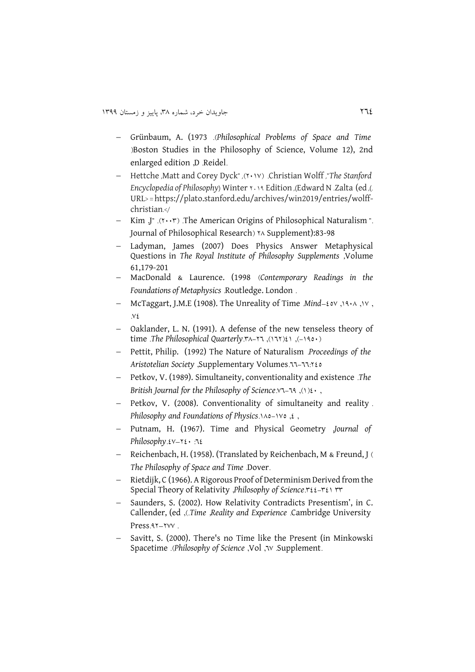- Grünbaum, A. (1973 .)*Philosophical Problems of Space and Time* )Boston Studies in the Philosophy of Science, Volume 12), 2nd enlarged edition ,D .Reidel.
- Hettche ,Matt and Corey Dyck" ,)2093( .Christian Wolff ,"*The Stanford Encyclopedia of Philosophy*) Winter  $x \rightarrow 9$  Edition ,(Edward N .Zalta (ed ,(.) URL< =https://plato.stanford.edu/archives/win2019/entries/wolffchristian.</
- Kim J" .(٢٠٠٣) The American Origins of Philosophical Naturalism ". Journal of Philosophical Research) \*^ Supplement):83-98
- Ladyman, James (2007) Does Physics Answer Metaphysical Questions in *The Royal Institute of Philosophy Supplements* ,Volume 61,179-201
- MacDonald & Laurence. (1998 )*Contemporary Readings in the Foundations of Metaphysics* .Routledge. London .
- McTaggart, J.M.E (1908). The Unreality of Time Mind-20V, 1910, 1V,  $\vee$
- Oaklander, L. N. (1991). A defense of the new tenseless theory of time .*The Philosophical Quarterly*. **\*\*\*** ,(171) , (190.)
- Pettit, Philip. (1992) The Nature of Naturalism .*Proceedings of the Aristotelian Society* ,Supplementary Volumes.66-66:225
- Petkov, V. (1989). Simultaneity, conventionality and existence .*The British Journal for the Philosophy of Science*. $Y - 19$ ,  $(Y)Y - 79$
- Petkov, V. (2008). Conventionality of simultaneity and reality. *Philosophy and Foundations of Physics*.140-1964,
- Putnam, H. (1967). Time and Physical Geometry ,*Journal of Philosophy*.23–220 :62
- Reichenbach, H. (1958). (Translated by Reichenbach, M & Freund, J ( *The Philosophy of Space and Time* .Dover.
- Rietdijk, C (1966). A Rigorous Proof of Determinism Derived from the Special Theory of Relativity ,*Philosophy* of *Science*.r{{-r{\mathb{1}}}
- Saunders, S. (2002). How Relativity Contradicts Presentism', in C. Callender, (ed ,).*Time* ,*Reality and Experience* .Cambridge University Press. 47–7VV.
- Savitt, S. (2000). There's no Time like the Present (in Minkowski Spacetime .(*Philosophy of Science* ,Vol ,*v. Supplement.*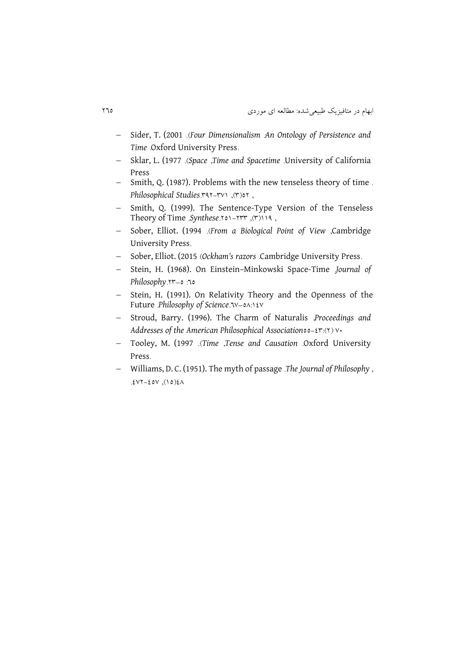- Sider, T. (2001 .)*Four Dimensionalism* :*An Ontology of Persistence and Time* .Oxford University Press.
- Sklar, L. (1977 .)*Space* ,*Time and Spacetime* .University of California Press
- Smith, Q. (1987). Problems with the new tenseless theory of time. *Philosophical Studies.* **And** *Philosophical Studies*.
- Smith, Q. (1999). The Sentence-Type Version of the Tenseless Theory of Time Synthese.<u>201-1977</u>, (٣)
- Sober, Elliot. (1994 .)*From a Biological Point of View* ,Cambridge University Press.
- Sober, Elliot. (2015 (Ockham's razors .Cambridge University Press.
- Stein, H. (1968). On Einstein–Minkowski Space-Time .*Journal of Philosophy*.28–5 :65
- Stein, H. (1991). On Relativity Theory and the Openness of the Future *Philosophy* of *Science*. *N*-0A: 1 & V
- Stroud, Barry. (1996). The Charm of Naturalis ,*Proceedings and Addresses of the American Philosophical Association*55-28:)2( 30
- Tooley, M. (1997 .)*Time* ,*Tense and Causation* .Oxford University Press.
- Williams, D. C. (1951). The myth of passage .*The Journal of Philosophy* ,  $.23222220207.25$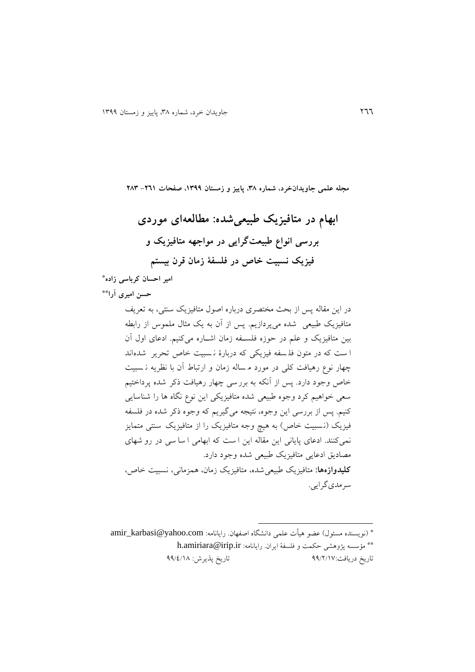**مجله علمی جاویدانخرد، شماره ،83 پاییز و زمستان ،9811 صفحات -169 138 ابهام در متافیزیک طبیعیشده: مطالعهای موردی بررسی انواع طبیعتگرایی در مواجهه متافیزیک و فیزیک نسبیت خاص در فلسفة زمان قرن بیستم \* امیر احسان کرباسی زاده حسن امیری آرا \*\*** در اين مقاله پس از بحث مختصری درباره اصول متافیزيک سنتی، به تعريف متافیزيک طبیعی شده میپردازيم. پس از آن به يک مثال ملموس از رابطه بین متافیزيک و علم در حوزه فلسف ه زمان اشفاره میکنیم. ادعای اول آن ا ست که در متون فل س ه فیزيکی که دربارۀ ن سبیت خاص تحرير ش دهاند چهار نوع رهیافت کلی در مورد م ساله زمان و ارتباط آن با نظريه ن سبیت خاص وجود دارد. پس از آنکه به بررسی چهار رهیافت ذکر شده پرداختیم سعی خواهیم کرد وجوه طبیعی شده متافیزيکی اين نوع نگاه ها را شناس ايی کنیم. پس از بررسی اين وجوه، نتیجه میگیريم که وجوه ذکر شده در فلس ه فیزيک )ن سبیت خاص( به هیچ وجه متافیزيک را از متافیزيک سنت ی متمايز نمیکنند. ادعای پايانی اين مقاله اين ا ست که ابهامی ا سا سی در رو شهای مصاديق ادعايی متافیزيک طبیعی شده وجود دارد. **کلیدوازهها:** متافیزيک طبیعیشده، متافیزيک زمان، همزمانی، نسبیت خاص، سرمدیگرايی.

\* (نويسنده مسئول) عضو هيأت علمی دانشگاه اصفهان. رايانامه: amir\_karbasi@yahoo.com \*\* مؤسسه پژوهشی حکمت و فلسفهٔ ايران. رايانامه: h.amiriara@irip.ir<br>تاريخ دريافت:۹۹/۲/۱۷ تاريخ پذيرش: ٩٩/٤/١٨

 $\overline{a}$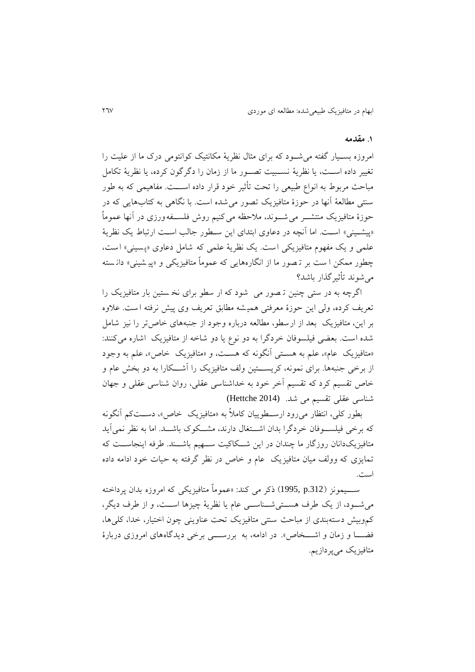#### **.9 مقدمه**

امروزه بسمیار گفته می شود که برای مثال نظریهٔ مکانتیک کوانتومی درک ما از علیت را تغییر داده اســت، يا نظريهٔ نســبیت تصــور ما از زمان را دگرگون کرده، يا نظريهٔ تکامل مباحث مربوط به انواع طبیعی را تحت تأثیر خود قرار داده اســـت. مفاهیمی که به طور سنتی مطالعة آنها در حوزۀ متافیزيک تصور می شده است. با نگاهی به کتابهايی که در حوزۀ متافیزیک منتشـــر می شــــوند، ملاحظه می کنیم روش فلســــفه ورزی در آنها عموماً «پیشـینی» اسـت. اما آنچه در دعاوی ابتدای اين سـطور جالب اسـت ارتباط يک نظريهٔ علمی و يک مفهوم متافيزيکی است. يک نظريهٔ علمی که شامل دعاوی «پسينی» است، چطور ممکن ا ست بر ت صور ما از انگاره هايی که عموماً متافیزيکی و »پی شینی « دان سته میشوند تأثیرگذار باشد؟

اگرچه به در ستی چنین ت صور می شود که ار سطو برای نخ ستین بار متافیزيک را تعريف کرده، ولی اين حوزۀ معرفتی همی شه مطابق تعريف وی پیش نرفته ا ست. عظوه بر اين، متافیزيک بعد از ارسطو، مطالعه درباره وجود از جنبه های خاصتر را نیز شام شده است. بعضی فیلسوفان خردگرا به دو نوع يا دو شاخه از متافیزيک اشاره می کنند: «متافيزيک عام»، علم به هستی آنگونه که هست، و «متافيزيک خاص»، علم به وجود از برخی جنبهها. برای نمونه، کریستین ولف متافیزیک را آشکارا به دو بخش عام و خاص تقسیم کرد که تقسیم آخر خود به خداشناسی عقلی، روان شناسی عقلی و جهان شناسی عقلی تقسیم می شد. (2014 Hettche(

بطور کلّی، انتظار می رود ارســطوییان کاملاً به «متافیزیک خاص»، دســتکم آنگونه که برخی فیلسـوفان خردگرا بدان اشــتغال دارند، مشــکوک باشـــد. اما به نظر نمی آيد متافيزيکدانان روزگار ما چندان در اين شـكاکيت ســـهيم باشـــند. طرفه اينجاســت که تمايزی که وولف ميان متافيزيک عام و خاص در نظر گرفته به حيات خود ادامه داده است.

ســـيمونز (1995, p.312) ذکر می کند: «عموماً متافيزيکی که امروزه بدان پرداخته می شـود، از يک طرف هســتی شــناســی عام يا نظريهٔ چیزها اســت، و از طرف ديگر، کموبیش دسته بندی از مباحث سنتی متافیزيک تحت عناوينی چون اختیار، خدا، کلیها، فضـــا و زمان و اشـــخاص». در ادامه، به بررســــی برخی دیدگاههای امروزی دربارهٔ متافیزيک میپردازيم.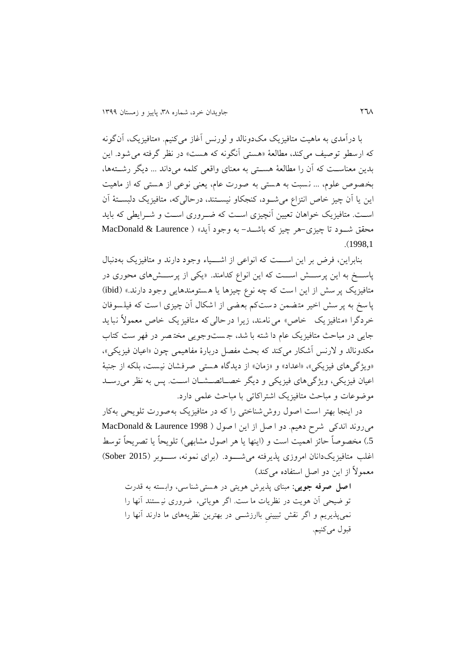با درآمدی به ماهیت متافیزيک مکدونالد و لورنس آغاز میکنیم. »متافیزيک، آنگونه که ارسطو توصیف می کند، مطالعهٔ «هستی آنگونه که هست» در نظر گرفته می شود. این بدين معناست که آن را مطالعهٔ هستی به معنای واقعی کلمه میداند ... ديگر رشــتهها، بخصوص علوم ، ... نسبت به هستی به صورت عام، يعنی نوعی از هستی که از ماهیت اين يا آن چیز خاص انتزاع می شود، کنجکاو نیسـتند، درحالیکه، متافیزیک دلبسـتهٔ آن است. متافیزیک خواهان تعیین آنچیزی است که ضـروری اسـت و شـرايطی که بايد محقق شـود تا چیزی-هر چیز که باشــد- به وجود آید» ( MacDonald & Laurence .)1998,1

بنابراين، فرض بر اين اســت که انواعی از اشـــياء وجود دارند و متافيزيک بهدنبال پاسخ به اين پرسش است که اين انواع کدامند. «يکی از پرسش های محوری در متافیزیک پر سش از این است که چه نوع چیزها یا هستومندهایی وجود دارند.» (ibid) پاسخ به پرسش اخیر مت ضمن د ست کم بع ضی از اشکال آن چیزی ا ست که فیل سو فان خردگرا »متافیزيک خاص « مینامند، زيرا درحالی که متافیزيک خاص معمولً نبايد جايی در مباحث متافيزيک عام دا شته با شد، جـستوجويی مختصر در فهر ست کتاب مکدونالد و لارنس آشکار میکند که بحث مفصل دربارۀ مفاهیمی چون «اعیان فیزیکی»، »ويژگیهای فیزيکی«، »اعداد« و »زمان« از ديدگاه هستی صرفشان نیست ، بلکه از جنبة اعیان فیزیکی، ویژگیهای فیزیکی و دیگر خصائصشان است. پس به نظر میرسد موووعات و مباحث متافیزيک اشتراکاتی با مباحث علمی دارد.

در اينجا بهتر است اصول روش شناختی را که در متافيزيک بهصورت تلويحی بهکار میروند اندکی شرح دهیم. دو ا صل از این ا صول ( MacDonald & Laurence 1998 5.) مخصوصاً حائز اهميت است و (اينها يا هر اصول مشابهی) تلويحاً يا تصريحاً توسط اغلب متافیزیک دانان امروزی پذیرفته می شود. (برای نمونه، سوبر (Sober 2015) معمولاً از اين دو اصل استفاده می کند)

**اصل صرفه جویی:** مبنای پذيرش هويتی در هستی شناسی، وابسته به قدرت تو ضيحي آن هويت در نظريات ما ست. اگر هوياتي، ضروری نيستند آنها را نمیپذيريم و اگر نقش تبیینیِ باارزشففی در بهترين نظريههای ما دارند آنها را قبول می کنیم.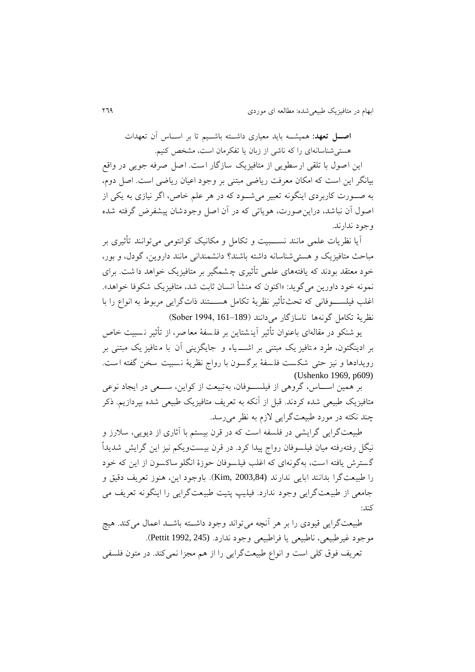**اصل تعهد:** همیشــه باید معیاری داشــته باشــیم تا بر اســاس آن تعهدات هستی شناسانهای را که ناشی از زبان یا تفکرمان است، مشخص کنیم. اين اصول با تلقی ارسطويی از متافيزيک سازگار است. اصل صرفه جويی در واقع بیانگر این است که امکان معرفت ریاضی مبتنی بر وجود اعیان ریاضی است. اصل دوم، به صـورت کاربردی اينگونه تعبير می شـود که در هر علم خاص، اگر نيازی به يکی از اصول آن نباشد، دراين صورت، هوياتی كه در آن اصل وجودشان پیشفرض گرفته شده وجود ندارند.

آيا نظريات علمی مانند نســـبيت و تکامل و مکانیک کوانتومی می توانند تأثیری بر مباحث متافیزيک و هستیشناسانه داشته باشند؟ دانشمندانی مانند داروين، گودل، و بور، خود معتقد بودند که يافتههای علمی تأثیری چ شمگیر بر متافیزيک خواهد دا شت . برای نمونه خود داورين میگويد: «اکنون که منشأ انسان ثابت شد، متافيزيک شکوفا خواهد». اغلب فیلســــوفانی که تحث تأثیر نظریهٔ تکامل هســـتند ذات گرايی مربوط به انواع را با نظرية تكامل گونهها ناسازگار می دانند (189–161 Sober)

يو شنکو در مقالهای باعنوان تأثیر آينشتاين بر فلسفهٔ معا صر، از تأثیر نـسبیت خاص بر ادينگتون، طرد متافيز يک مبتنی بر اشــــــياء و جايگزينی آن با مـتافيز يک مبتنی بر رويدادها و نيز حتى شكست فلسفهٔ برگسون با رواج نظريهٔ نسبيت سخن گفته است. (Ushenko 1969, p609)

بر همین اســاس، گروهی از فیلســوفان، بهتبیعت از کواين، ســـعی در ايجاد نوعی متافیزیک طبیعی شده کردند. قبل از آنکه به تعریف متافیزیک طبیعی شده بپردازیم. ذکر چند نکته در مورد طبیعتگرايی لزم به نظر میرسد.

طبیعتگرایی گرایشی در فلسفه است که در قرن بیستم با آثاری از دیویی، سلارز و نیگل رفتهرفته میان فیلسوفان رواج پیدا کرد. در قرن بیست<code>ویکم</code> نیز این گرایش شدیداً گسترش يافته است، به گونهای که اغلا فیلسوفان حوزۀ انگلوساکسون از اين که خود را طبیعت گرا بدانند ابايی ندارند (2003,84 ,Kim). باوجود اين، هنوز تعريف دقیق و جامعی از طبیعت گرايی وجود ندارد. فیلیپ پتیت طبیعت گرايی را اينگونه تعر يف می کند:

طبیعتگرایی قیودی را بر هر آنچه میتواند وجود داشــته باشــد اعمال میکند. هیچ موجود غیرطبیعی، ناطبیعی يا فراطبیعی وجود ندارد. (245 1992, Pettit). تعريف فوق کلی است و انواع طبيعتگرايی را از هم مجزا نمیکند. در متون فلسفی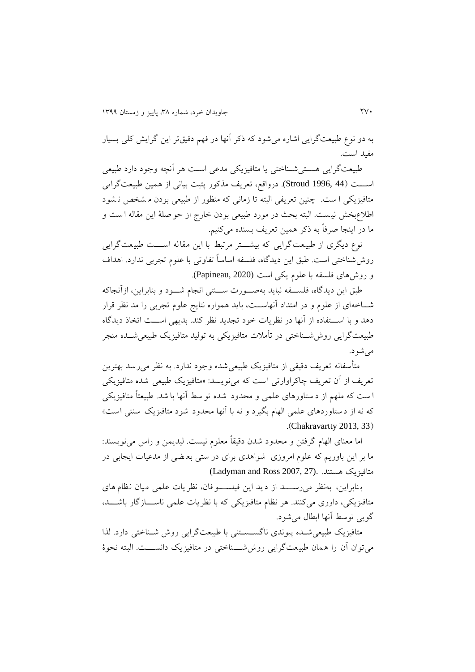به دو نوع طبیعتگرايی اشاره میشود که ذکر آنها در فهم دقیقتر اين گرايش کلی بسیار مفید است.

طبیعتگرايی هستی شـناختی يا متافيزيکی مدعی اسـت هر آنچه وجود دارد طبیعی اســـت (44 ,Stroud) درواقع، تعريف مذکور پتيت بيانی از همين طبيعت گرايی متافیزیکی ا ست. چنین تعریفی البته تا زمانی که منظور از طبیعی بودن م شخص ن شود اطظعبخش نی ست. البته بحث در مورد طبیعی بودن خارج از حو صلة اين مقاله ا ست و ما در اينجا صرفاً به ذکر همین تعريف بسنده میکنیم.

نوع ديگری از طبيعت گرايی که بيشـــتر مرتبط با اين مقاله اســـت طبيعت گرايی روش شناختی است. طبق اين ديدگاه، فلسفه اساساً تفاوتی با علوم تجربی ندارد. اهداف و روشهای فلسفه با علوم يکی است (Papineau, 2020).

طبق اين ديدگاه، فلســـفه نبايد بهصـــورت ســـنتی انجام شـــود و بنابراين، ازآنجاکه شــاخهای از علوم و در امتداد آنهاســت، بايد همواره نتايج علوم تجربی را مد نظر قرار دهد و با اســـتفاده از آنها در نظريات خود تجديد نظر کند. بديهی اســـت اتخاذ ديدگاه طبیعتگرايی روش شــناختی در تأملات متافیزيکی به تولید متافیزيک طبیعی شــده منجر می شو د.

متأسفانه تعريف دقیقی از متافیزيک طبیعی شده وجود ندارد. به نظر می رسد بهترين تعريف از آن تعريف چاکراوارتی است که می نويسد: »متافیزيک طبیعی شده متافیزيکی ا ست که ملهم از د ستاورهای علمی و محدود شده تو سط آنها با شد. طبیعتاً متافیزیکی که نه از دستاوردهای علمی الهام بگیرد و نه با آنها محدود شود متافیزیک سنتی است» .(Chakravartty 2013, 33)

اما معنای الهام گرفتن و محدود شدن دقیقاً معلوم نیست. لیدیمن و راس می نویسند: ما بر اين باوريم که علوم امروزی شواهدی برای در ستی بع ضی از مدعیات ايجابی در (Ladyman and Ross 2007, 27). .هستند متافیزيک

بنابراين، به نظر می رســـد از ديد اين فيلســـوفان، نظر يات علمی ميان نظام های متافيزيکی، داوری میکنند. هر نظام متافيزيکی که با نظريات علمی ناســـازگار باشــــد، گويی توسط آنها ابطال میشود.

متافیزیک طبیعی شـده پیوندی ناگسـسـتنی با طبیعتگرایی روش شـناختی دارد. لذا می توان آن را همان طبیعت گرايی روش شـــناختی در متافیزيک دانســـت. البته نحوۀ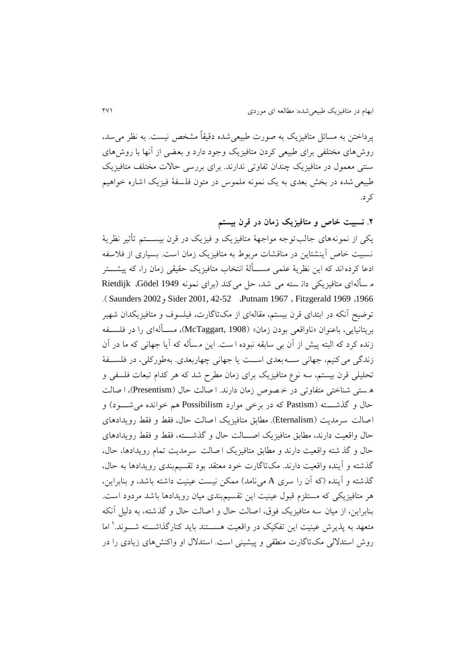پرداختن به مساش متافیزيک به صور ت طبیعیشده دقیقاً مشخص نیست. به نظر می سد، روشهای مختلفی برای طبیعی کردن متافیزیک وجود دارد و بعضی از آنها با روشهای سنتی معمول در متافیزیک چندان تفاوتی ندارند. برای بررسی حالات مختلف متافیزیک طبیعی شده در بخش بعدی به يک نمونه ملموس در متون فلسفهٔ فیزیک اشاره خواهیم کرد.

**.1 نسبیت خاص و متافیزیک زمان در قرن بیستم**

يکی از نمونه های جالب توجه مواجههٔ متافیزيک و فیزیک در قرن بیســــتم تأثیر نظريهٔ نسبیت خاص آینشتاین در مناقشات مربوط به متافیزیک زمان است. بسیاری از فلاسفه ادعا کرده اند که اين نظريهٔ علمی مســـألهٔ انتخاب متافیزیک حقیقی زمان را، که پیشــــتر م سأله ای متافيزيکی دان سته می شد، حل می کند (برای نمونه 1949 Gödel، Rietdijk .) Saunders 2002و Sider 2001, 42-52 ،Putnam 1967 ، Fitzgerald 1969 ،1966 توویح آنکه در ابتدای قرن بیستم، مقالهای از مکتاگارت، فیلسوف و متافیزيکدان شهیر بريتانیايی، باعنوان »ناواقعی بودن زمان« )1908 ,McTaggart)، مسففألهای را در فلسفف ه زنده کرد که البته پیش از آن بی سابقه نبوده ا ست. اين م سأله که آيا جهانی که ما در آن زندگی می کنیم، جهانی ســــه بعدی اســـت يا جهانی چهاربعدی. بهطورکلی، در فلســـفهٔ تحلیلی قرن بیستم، سه نوع متافیزیک برای زمان مطرح شد که هر کدام تبعات فلسفی و ه ستی شناختی متفاوتی در خمصوص زمان دارند. ا صالت حال (Presentism)، ا صالت حال و گذشته (Pastism که در برخی موارد Possibilism هم خوانده می شـــود) و اصالت سرمديت ) Eternalism). مطابق متافیزيک اصالت حال، فقط و فقط رويدادهای حال واقعیت دارند، مطابق متافیزیک اصـــالت حال و گذشــــته، فقط و فقط رویدادهای حال و گذ شته واقعیت دارند و مطابق متافیزيک ا صالت سرمديت تمام رويدادها، حال، گذشته و آينده واقعیت دارند. مک تاگارت خود معتقد بود تقسیم بندی رويدادها به حال، گذشته و آينده (که آن را سری A مینامد) ممکن نیست عینیت داشته باشد، و بنابراین، هر متافيزيکی که مستلزم قبول عينيت اين تقسيم بندی میان رويدادها باشد مردود است. بنابراين، از میان سه متافیزيک فوق، اصالت حال و اصالت حال و گذشته، به دلی آنکه متعهد به پذیرش عینیت این تفکیک در واقعیت هســـتند باید کنارگذاشـــته شـــوند.' اما روش استدللی مک تاگارت منطقی و پیشینی است. استدلل او واکنش های زيادی را در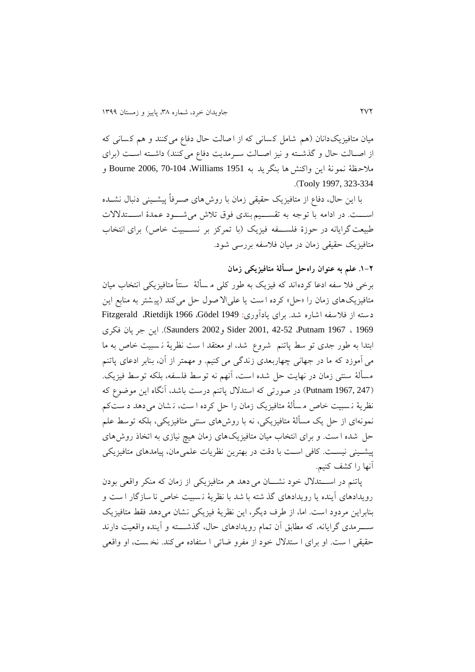میان متافیزیکدانان (هم شامل کسانی که از ا صالت حال دفاع می کنند و هم کسانی که از اصالت حال و گذشته و نیز اصالت سرمديت دفاع می کنند) داشته است (برای مظحظة نمونة اين واکنش ها بنگريد به 1951 Williams، 70-104 2006, Bourne و .)Tooly 1997, 323-334

با اين حال، دفاع از متافیزيک حقیقی زمان با روشهای صفرفاً پیشفینی دنبال نشفده اســـت. در ادامه با توجه به تقســـيم بندی فوق تلاش میشـــود عمدۀ اســـتدلالات طبیعت گرايانه در حوزۀ فلســـفه فيزيک (با تمرکز بر نســـبيت خاص) برای انتخاب متافیزیک حقیقی زمان در میان فلاسفه بررسی شود.

**.9-1 علم به عنوان راهحل مسألة متافیزیکی زمان**

برخی فلا سفه ادعا کرده اند که فیزیک به طور کلی م سألهٔ ً سنتاً متافیزیکی انتخاب میان متافیزیکهای زمان را «حل» کرده ا ست یا علیالا صول حل می کند (پیشتر به منابع این دسته از فلاسفه اشاره شد. برای يادآوری: 1949 Gödel، Rietdijk، Pitzgerald، 1969 ، 1967 Putnam، 42-52 2001, Sider و2002 Saunders). اين جر يان فکری ابتدا به طور جدی تو سط پاتنم شروع شد، او معتقد ا ست نظرية ن سبیت خاص به ما می آموزد که ما در جهانی چهاربعدی زندگی می کنیم. و مهمتر از آن، بنابر ادعای پاتنم مسألهٔ سنتی زمان در نهايت حل شده است، آنهم نه توسط فلسفه، بلکه توسط فيزيک. )247 1967, Putnam )در صورتی که استدلل پاتنم درست باشد، آ نگاه اين موووع که نظريهٔ نـسبيت خاص مسألهٔ متافيزيک زمان را حل کرده ا ست، نـشان می دهد د ستکم نمونهای از حل يک مسألهٔ متافيزيکی، نه با روش های سنتی متافيزيکی، بلکه توسط علم حل شده است. و برای انتخاب میان متافیزیکهای زمان هیچ نیازی به اتخاذ روشهای پیشینی نیست. کافی است با دقت در بهترين نظريات علمی مان، پیامدهای متافیزيکی آنها را کشف کنیم.

پاتنم در اســـتدلال خود نشـــان می دهد هر متافیزیکی از زمان که منکر واقعی بودن رويدادهای آينده يا رويدادهای گذ شته با شد با نظرية ن سبیت خاص نا سازگار ا ست و بنابراين مردود است. اما، از طرف ديگر، اين نظرية فیزيکی نشان می دهد فقط متافیزيک سفففرمدی گرايانه، که مطابق آن تمام رويدادهای حال، گذشفففته و آينده واقعیت دارند حقیقی ا ست. او برای ا ستدلال خود از مفرو ضاتی ا ستفاده می کند. نخ ست، او واقعی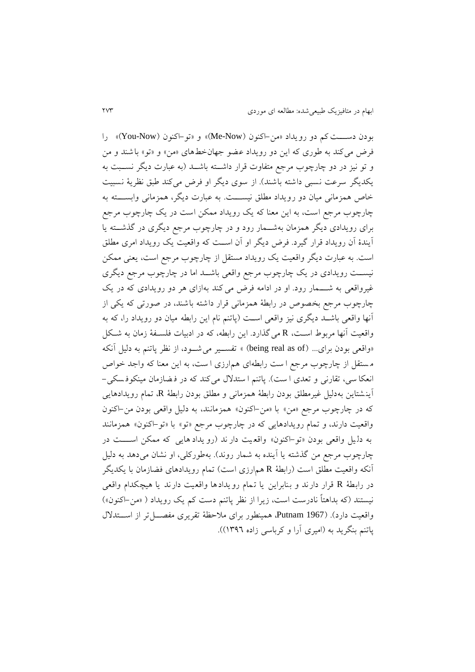بودن دسفففتکم دو رويداد »من-اکنون )Now-Me »)و »تو-اکنون )Now-You »)را فرض میکند به طوری که اين دو رويداد عضو جهانخطهای «من» و «تو» باشند و من و تو نیز در دو چارچوب مرجع متفاوت قرار داشـــته باشـــد (به عبارت ديگر نســـبت به يکديگر سرعت نسبی داشته باشند). از سوی ديگر او فرض می کند طبق نظريهٔ نسبيت خاص همزمانی میان دو رويداد مطلق نيســـت. به عبارت ديگر، همزمانی وابســـته به چارچوب مرجع است، به اين معنا که يک رويداد ممکن است در يک چارچوب مرجع برای رويدادی ديگر همزمان بهشــمار رود و در چارچوب مرجع ديگری در گذشــته يا آيندۀ آن رويداد قرار گیرد. فرض ديگر او آن اسففت که واقعیت يک رويداد امری مطلق است. به عبارت ديگر واقعيت يک رويداد مستقل از چارچوب مرجع است، يعنی ممکن نیســت رويدادی در يک چارچوب مرجع واقعی باشــد اما در چارچوب مرجع ديگری غیرواقعی به شـــمار رود. او در ادامه فرض می کند به ازای هر دو رویدادی که در يک چارچوب مرجع بخصوص در رابطة همز مانی قرار داشته باشند، در صورتی که يکی از آنها واقعی باشفد ديگری نیز واقعی اسفت )پاتنم نام اين رابطه میان دو رويداد را، که به واقعیت آنها مربوط است، R میگذارد. این رابطه، که در ادبیات فلسـفهٔ زمان به شـکل «واقعی بودن برای... (being real as of) » تفســیر می شــود، از نظر پاتنم به دلیل آنکه مستقل از چارچوب مرجع ا ست رابطه ای هم ارزی ا ست، به اين معنا که واجد خواص انعکا سی، تقارنی و تعدی ا ست(. پاتنم ا ستدلل می کند که در ف ضازمان مینکوف سکی - آينشتاين به دليل غیرمطلق بودن رابطهٔ همزمانی و مطلق بودن رابطهٔ R، تمام رويدادهايی که در چارچوب مرجع «من» با «من-اکنون» همزمانند، به دلیل واقعی بودن من-اکنون واقعیت دارند، و تمام رويدادهايی که در چارچوب مرجع »تو« با »تو-اکنون« همزمانند به دل یل واقعی بودن «تو-اکنون» واقعیت دار ند (رو یداد هایی که ممکن اسست در چارچوب مرجع من گذشته يا آينده به شمار روند). بهطورکلی، او نشان میدهد به دلیل آنکه واقعیت مطلق است (رابطهٔ R هم|رزی است) تمام رویدادهای فضازمان با یکدیگر در رابطهٔ R قرار دارند و بنابراين يا تـمام رويدادها واقعيت دارند يا هيچکدام واقعی نیستند (که بداهتاً نادرست است، زیرا از نظر پاتنم دست کم یک رویداد ( «من–اکنون») واقعیت دارد). (Putnam 1967، همینطور برای ملاحظهٔ تقریری مفصـــل تر از اســـتدلال پاتنم بنگريد به (اميري آرا و کرباسی زاده ١٣٩٦)).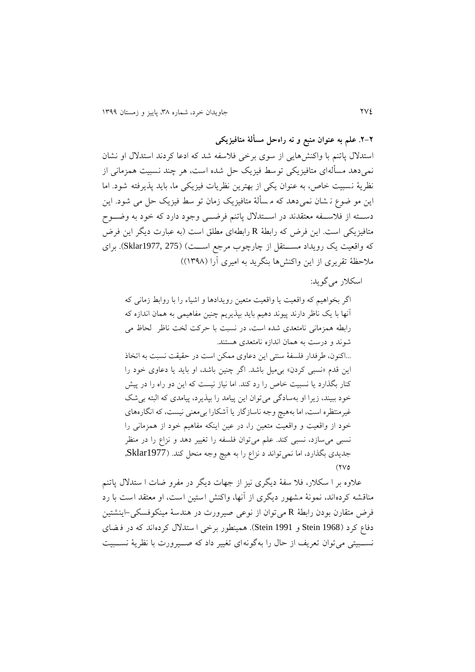**.1-1 علم به عنوان منبع و نه راهحل مسألة متافیزیکی** 

استدلال پاتنم با واکنش،ایی از سوی برخی فلاسفه شد که ادعا کردند استدلال او نشان نمی دهد مسألهای متافيزيکی توسط فيزيک حل شده است، هر چند نسبيت همزمانی از نظرية نسبیت خاص، به عنوان يکی از بهترين نظريات فیزيکی ما، بايد پذيرفته شود. اما اين مو ضوع نـ شان نمی دهد که مـ سألهٔ متافيزيک زمان تو سط فيزيک حل می شود. اين دسته از فلاسفه معتقدند در استدلال پاتنم فرضی وجود دارد که خود به وضوح متافيزيکی است. اين فرض که رابطهٔ R رابطهای مطلق است (به عبارت ديگر اين فرض که واقعیت یک رویداد مستقل از چارچوب مرجع است) (Sklar1977, 275). برای ملاحظهٔ تقريری از اين واکنشها بنگريد به اميری آرا (١٣٩٨))

اسکلار می گويد:

اگر بخواهیم که واقعیت يا واقعیت متعین رويدادها و اشیا را با روابط زمانی که آنها با يک ناظر دارند پيوند دهيم بايد بپذيريم چنين مفاهيمی به همان اندازه که رابطه همزمانی نامتعدی شده است، در نسبت با حرکت لخت ناظر لحاظ می شوند و درست به همان اندازه نامتعدی هستند. ...اکنون، طرفدار فلسفهٔ سنتی این دعاوی ممکن است در حقیقت نسبت به اتخاذ اين قدم «نسبی کردن» بیمیل باشد. اگر چنین باشد، او بايد يا دعاوی خود را کنار بگذارد يا نسبیت خاص را رد کند. اما نیاز نیست که اين دو راه را در پیش خود ببیند، زيرا او بهسادگی میتوان اين پیامد را بپذيرد، پیامدی که البته بیشک غیرمنتظره است، اما بههیچ وجه ناسازگار يا آشکارا بیمعنی نیست، که انگارههای خود از واقعیت و واقعیت متعین را، در عین اینکه مفاهیم خود از همزمانی را نسبی میسازد، نسبی کند. علم میتوان فلسفه را تغییر دهد و نزاع را در منظر جديدی بگذارد، اما نمی تواند د نزاع را به هيچ وجه منحل کند. (Sklar1977,  $(300)$ 

علاوه بر ا سکلار، فلا سفهٔ ديگری نيز از جهات ديگر در مفرو ضات ا ستدلال پاتنم مناقشه کردهاند، نمونة مشهور ديگری از آنها، واکنش استین است، او معتقد است با رد فرض متقارن بودن رابطة R میتوان از نوعی صیرورت در هندسة مینکوفسکی -اينشتی ن دفاع کرد )1968 Stein و 1991 Stein). همینطور برخی ا ستدلل کرده اند که در ف ضای نســبیتی میتوان تعريف از حال را بهگونهای تغییر داد که صــیرورت با نظريهٔ نســبیت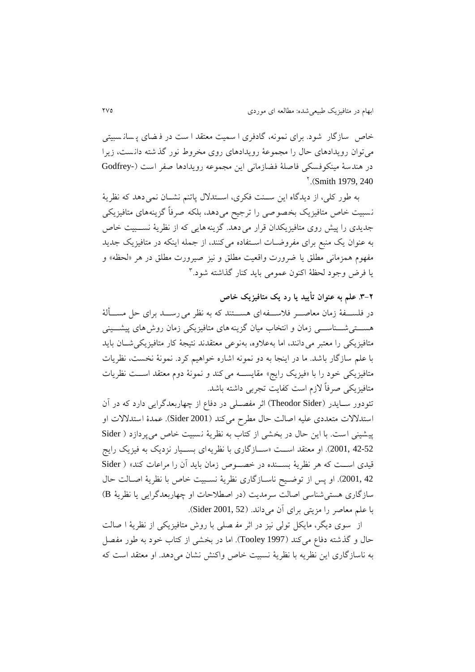خاص سازگار شود. برای نمونه، گادفری ا سمیت معتقد ا ست در ف ضای پ سان سبیتی میتوان رويدادهای حال را مجموعة رويدادهای روی مخروط نور گذ شته دان ست، زيرا در هندسهٔ مینکوفسکی فاصلهٔ فضازمانی این مجموعه رویدادها صفر است (-Godfrey  $^{\circ}$  (Smith 1979, 240)

به طور کلی، از ديدگاه اين سـنت فکری، اسـتدلال پاتنم نشـان نمی دهد که نظريهٔ نسبیت خاص متافیزيک بخصوصی را ترجیح می دهد، بلکه صرفاً گزينه های متافیزيکی جديدی را پيش روی متافيزيکدان قرار می دهد. گزينههايی که از نظريهٔ نسـبيت خاص به عنوان يک منبع برای مفروضــات اســتفاده می کنند، از جمله اينکه در متافيزيک جديد مفهوم همزمانی مطلق یا ضرورت واقعیت مطلق و نیز صیرورت مطلق در هر «لحظه» و <sup>8</sup> يا فرض وجود لحظة اکنون عمومی بايد کنار گذاشته شود.

**.8-1 علم به عنوان تأیید یا رد یک متافیزیک خاص**

در فلســـفهٔ زمان معاصــــر فلاســـفه<code>ای هســـتند که به نظر می رســـد برای حل مســـألهٔ</code> هســـتی شـــناســــی زمان و انتخاب میان گزینه های متافیزیکی زمان روش های پیشـــینی متافيزيکی را معتبر می دانند، اما بهعلاوه، بهنوعی معتقدند نتیجهٔ کار متافیزیکیشـان باید با علم سازگار باشد. ما در اينجا به دو نمونه اشاره خواهیم کرد. نمونة نخست، نظريات متافيزيکی خود را با «فيزيک رايج» مقايســـه می کند و نمونهٔ دوم معتقد اســت نظريات متافيزيکی صرفاً لازم است کفايت تجربی داشته باشد.

تئودور ســايدر (Theodor Sider) اثر مفصــلی در دفاع از چهاربعدگرايی دارد که در آن استدللت متعددی علیه اصالت حال مطرح می کند )2001 Sider). عمدۀ استدللت او پیشینی است. با اين حال در بخشی از کتاب به نظرية نسبیت خاص می پردازد ) Sider 2001, 42-52). او معتقد اسـت «سـازگاری با نظريهای بســيار نزديک به فيزيک رايج قیدی اســت که هر نظريهٔ بســنده در خصــوص زمان بايد آن را مراعات کند» ( Sider 42 .2001). او پس از توضـيح ناسـازگاری نظريهٔ نسـبيت خاص با نظريهٔ اصـالت حال سازگاری هستیشناسی اصالت سرمديت )در اصطظحات او چهاربعدگرايی يا نظرية B ) با علم معاصر را مزيتی برای آن میداند. )52 2001, Sider).

از سوی ديگر، مايکل تولی نيز در اثر مفه سلی با روش متافيزيکی از نظريهٔ ا صالت حال و گذشته دفاع می کند (1997 Tooley). اما در بخشی از کتاب خود به طور مفصل به ناسازگاری اين نظريه با نظريهٔ نسبيت خاص واکنش نشان می دهد. او معتقد است که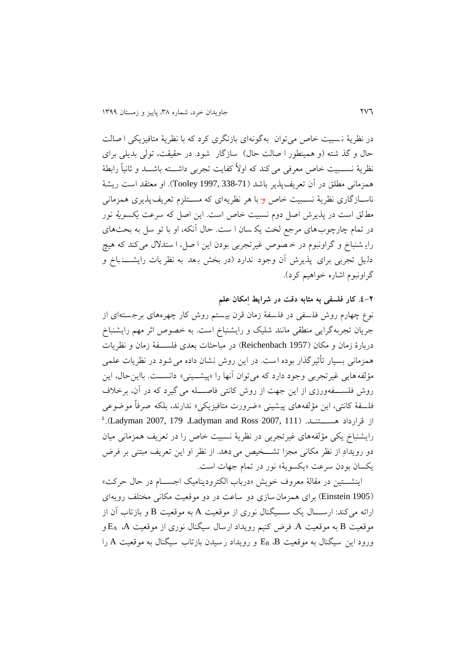در نظرية ن سبیت خاص میتوان بهگونهای بازنگری کرد که با نظرية متافیزيکی ا صالت حال و گذ شته (و همینطور ا صالت حال) سازگار شود. در حقیقت، تولی بدیلی برای نظريهٔ نســبیت خاص معرفی می کند که اولاً کفایت تجربی داشـــته باشـــد و ثانیاً رابطهٔ همزمانی مطلق در آن تعريفپذير باشد ) 338-71 1997, Tooley). او معتقد است ريشة ناسـازگاری نظريهٔ نسـبيت خاص <del>و</del> با هر نظريهای که مسـتلزم تعريف $\mu$ يری همزمانی مطلق است در پذيرش اصل دوم نسبيت خاص است. اين اصل که سرعت يکس*ويهٔ* نور در تمام چارچوبهای مرجع لخت يک سان ا ست. حال آنکه، او با تو سل به بحثهای رايـشنباخ و گراونبوم در خـصوص غيرتجربی بودن اين ا صل، ا ستدلال می کند که هيچ دليل تجربي برای پذيرش آن وجود ندارد (در بخش بعد به نظر يات رايشـــــنباخ و گراونبوم اشاره خواهیم کرد).

**.4-1 کار فلسفی به مثابه دقت در شرایط اِمکان علم**

نوع چهارم روش فلسفی در فلسفهٔ زمان قرن بیستم روش کار چهرههای برجستهای از جريان تجربهگرايی منطقی مانند شلیک و رايشنباخ است. به خصوص اثر مهم رايشنباخ دربارۀ زمان و مکان )1957 Reichenbach )در مباحثات بعدی فلسفف ة زمان و نظريات همزمانی بسیار تأثیرگذار بوده است. در این روش نشان داده می شود در نظریات علمی مؤلفه هايی غیرتجربی وجود دارد که میتوان آنها را «پیشپینی» دانســت. بااینحال، این روش فلســـفهورزی از اين جهت از روش کانتی فاصــــله می گیرد که در آن، برخلاف فلسفهٔ کانتی، این مؤلفههای پیشینی «ضرورت متافیزیکی» ندارند، بلکه صرفاً موضوعی  $^2$ .(Ladyman 2007, 179 ،Ladyman and Ross 2007, 111).  $^2$ رايشنباخ يکی مؤلفههای غیرتجربی در نظريهٔ نسبيت خاص را در تعريف همزمانی ميان دو رويدادِ از نظر مکانی مجزا تشـــخیص می دهد. از نظر او اين تعريف مبتنی بر فرض يکسان بودن سرعت «يکسويهٔ» نور در تمام جهات است.

اينشـتين در مقالهٔ معروف خويش «درباب الکتروديناميک اجسـام در حال حرکت» )1905 Einstein )برای همزمانسازی دو ساعت در دو موقعیت مکانی مختلف رويهای ارائه می کند: ارســــال يک ســــيگنال نوری از موقعیت A به موقعیت B و بازتاب آن از موقعیت B به موقعیت A. فرض کنیم رويداد ارسال سیگنال نوری از موقعیت A، E<sup>A</sup> و ورود اين سیگنال به موقعیت B، E<sup>B</sup> و رويداد رسیدن بازتاب سیگنال به موقعیت A را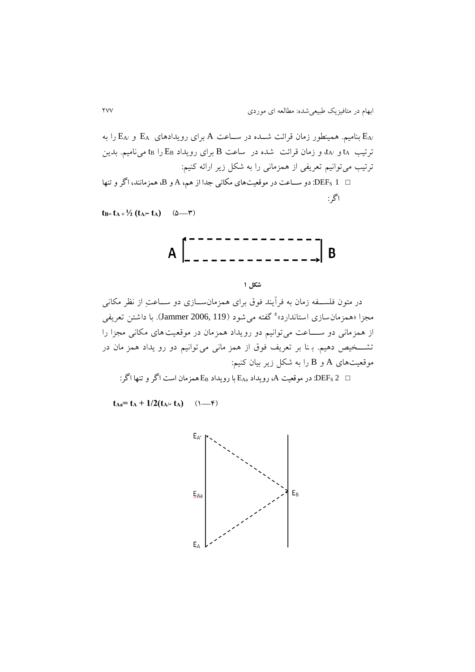و /E<sup>A</sup> را به /E<sup>A</sup> بنامیم. همینطور زمان قراشت شففده در سففاعت A برای رويدادهای E<sup>A</sup> ترتیب ta و  $t_A$ ، و زمان قرائت شده در ساعت B برای رویداد  $E_B$  را t $_5$  مینامیم. بدین ترتیب میتوانیم تعریفی از همزمانی را به شکل زير ارائه کنیم: <sup>1</sup> DEFS: دو ساا در دو عیت ره ی عک نی جدا از هم، <sup>A</sup> و B، همزع نند، اگر و تنه اگر:

 $t_{B} = t_{A} + \frac{1}{2} (t_{A} - t_{A})$  ( $\Delta = \tau$ )



**شکل 1**

در متون فلســفه زمان به فرآيند فوق برای همزمانســازی دو ســاعتِ از نظر مکانی مجزا «همزمان $بازی استاندارد»° گفته می شود (Jammer 2006, 119). با داشتن تعریفی$ از همزمانی دو ســــاعت می توانیم دو رویداد همزمان در موقعیت های مکانی مجزا را تشخیص دهیم. ب نا بر تعريف فوق از همز مانی می توانیم دو رو يداد همز مان در موقعیتهای A و B را به شکل زير بيان کنيم:

: در موقعیت A، رویداد E<sub>Aa</sub> با رویداد E<sub>Aa</sub> همزمان است اگر و تنها اگر :  $\hbox{DEF}_\mathrm{S}\,2$   $\hskip1mm \square$ 

 $t_{Aa} = t_A + 1/2(t_{A/-} t_A)$  (1—4)

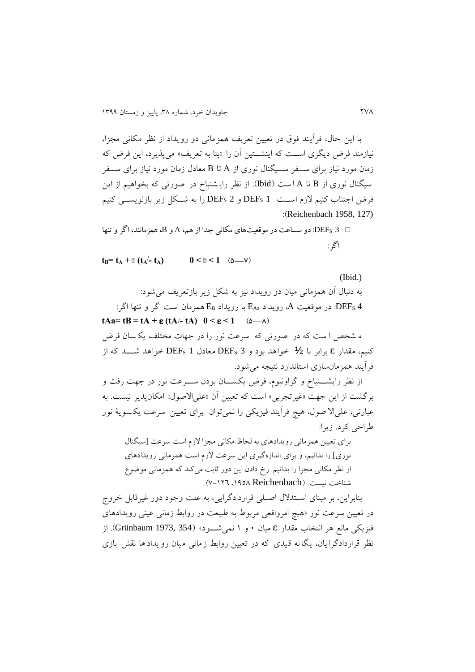با اين حال، فرآيند فوق در تعیین تعريف همزمانی دو رويداد از نظر مکانی مجزا، نیازمند فرض ديگری اســت که اينشــتين آن را «بنا به تعريف» میپذيرد، اين فرض که زمان مورد نیاز برای سفف ر سففیگنال نوری از A تا B معادل زمان مورد نیاز برای سفف ر سیگنال نوری از B تا A است (Ibid). از نظر رايـشنباخ در صورتی که بخواهیم از اين فرض اجتناب کنیم لازم است DEFs 1 و DEFs 2 را به شکل زير بازنويسسی کنیم :)Reichenbach 1958, 127)

 <sup>3</sup> DEFS: دو ساا در دو عیت ره ی عک نی جدا از هم، <sup>A</sup> و B، همزع نند، اگر و تنه اگر:

 $\mathbf{t}_\mathbf{B} = \mathbf{t}_\mathbf{A} + \mathbf{B} (\mathbf{t}_\mathbf{A})$  $0 \leq 2 \leq 1$  ( $\Delta$ —Y)

(Ibid.) به دنبال آن همزمانی میان دو رويداد نيز به شکل زير بازتعريف می شود: : در موقعیت A، رویداد E<sub>Aa</sub> با رویداد E<sub>B</sub> همزمان است اگر و تنها اگر (EB ): **tAa=**  $tB = tA + \varepsilon (tA) - tA$ **)**  $0 \le \varepsilon \le 1$  **(** $\triangle -\triangle$ **)** 

م شخص ا ست که در صورتی که سرعت نور را در جهات مختلف يک سان فرض کنیم، مقدار ɛ برابر با 1/2 خواهد بود و <sup>3</sup> DEF<sup>S</sup> معادل <sup>1</sup> DEF<sup>S</sup> خواهد شفففد که از فرآيند همزمانسازی استاندارد نتیجه میشود.

از نظر رايشـــنباخ و گراونبوم، فرض يکســـان بودن ســــرعت نور در جهت رفت و برگشت از اين جهت «غیرتجربی» است که تعیین آن «علیالاصول» امکانپذیر نیست. به عبارتی، علیالا صول، هیچ فرآیند فیزیکی را نمیتوان برای تعیین سرعت یکسویهٔ نور طراحی کرد. زيرا:

برای تعیین همزمانی رويدادهای به لحاظ مکانی مجزا لزم است سرعت ]سیگنال نوری] را بدانیم، و برای اندازهگیری اين سرعت لازم است همزمانی رويدادهای از نظر مکانی مجزا را بدانیم. رخ دادن این دور ثابت میکند که همزمانی موضوع شناخت نیست. )Reichenbach ,9153 3-926).

بنابراين، بر مبنای اســتدلال اصــلی قراردادگرايی، به علت وجود دور غیرقابل خروج در تعیین سرعت نور »هیچ امرواقعی مربوط به طبیعت در روابط زمانی عینی رويدادهای فیزيکی مانع هر انتخاب مقدار ɛ میان 0 و 9 نمیشففود« )354 1973, Grünbaum). از نظر قراردادگرا يان، يگانه قیدی که در تعیین روابط زمانی میان رويدادها نقش بازی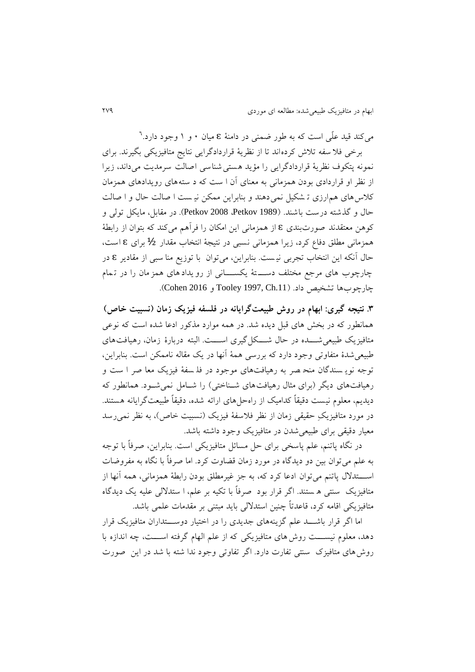میکند قید علّی است که به طور ضمنی در دامنهٔ **z** میان ۰ و ۱ وجود دارد.<sup>٦</sup>

برخی فلا سفه تلاش کرده اند تا از نظريهٔ قراردادگرايی نتايج متافيزيکی بگيرند. برای نمونه پتکوف نظريهٔ قراردادگرايی را مؤيد هستی شناسی اصالت سرمديت می داند، زيرا از نظر او قراردادی بودن همزمانی به معنای آن ا ست که د سته های رويدادهای همزمان کلاس های همارزی تـ شکیل نمی دهند و بنابراین ممکن نیـ ست ا صالت حال و ا صالت حال و گذشته درست باشند. (Petkov 2008 ،Petkov 1989). در مقابل، مايکل تولی و کوهن معتقدند صو رتبندی ɛ از همزمانی اين امکان را فرآهم میکند که بتوان از رابطة همزمانی مطلق دفاع کرد، زيرا همزمانی نسبی در نتيجهٔ انتخاب مقدار 1⁄2 برای £ است، حال آنکه اين انتخاب تجربی نی ست. بنابراين، می توان با توزيع منا سبی از مقادير ɛ در چارچوب های مرجع مختلف دست هٔ يکســـانی از رو يداد های همز مان را در تـمام چارچوبها تشخیص داد. ).11Ch 1997, Tooley و 2016 Cohen).

**.8 نتیجه گیری: ابهام در روش طبیعتگرایانه در فلسفه فیزیک زمان )نسبیت خاص(** همانطور که در بخش های قبل ديده شد. در همه موارد مذکور ادعا شده است که نوعی متافیزیک طبیعی شــــده در حال شــــکل گیری اســــت. البته دربارهٔ زمان، رهیافتهای طبیعی شدهٔ متفاوتی وجود دارد که بررسی همهٔ آنها در یک مقاله ناممکن است. بنابراین، توجه نويـ سندگان منحـ صر به رهيافتهای موجود در فلـ سفهٔ فيزيک معا صر ا ست و رهیافتهای دیگر (برای مثال رهیافتهای شـناختی) را شـامل نمی شـود. همانطور که دیدیم، معلوم نیست دقیقاً کدامیک از راهحل های ارائه شده، دقیقاً طبیعتگرایانه هستند. در مورد متافیزیکِ حقیقی زمان از نظر فلاسفهٔ فیزیک (نسبیت خاص)، به نظر نمی رسد معیار دقیقی برای طبیعیشدن در متافیزيک وجود داشته باشد.

در نگاه پاتنم، علم پاسخی برای حل مسائل متافیزیکی است. بنابراین، صرفاً با توجه به علم می توان بین دو دیدگاه در مورد زمان قضاوت کرد. اما صرفاً با نگاه به مفروضات اســـتدلال پاتنم می توان ادعا کرد که، به جز غیرمطلق بودن رابطهٔ همزمانی، همه آنها از متافیزيک سنتی ه ستند. اگر قرار بود صرفاً با تکیه بر علم، ا ستدللی علیه يک دي دگاه متافیزيکی اقامه کرد، قاعدتاً چنین استدللی بايد مبتنی بر مقدمات علمی باشد.

اما اگر قرار باشـــد علم گزينههای جديدی را در اختيار دوســـتداران متافيزيک قرار دهد، معلوم نیســـت روش های متافیزیکی که از علم الهام گرفته اســـت، چه اندازه با روش های متافیزک سنتی تفارت دارد. اگر تفاوتی وجود ندا شته با شد در این صورت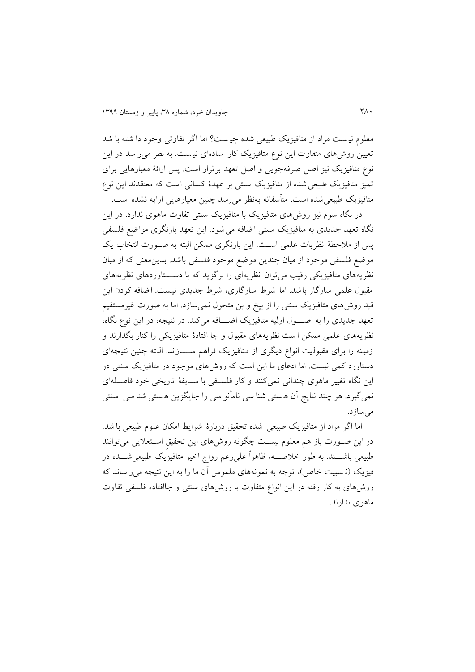معلوم نیست مراد از متافیزیک طبیعی شده چیست؟ اما اگر تفاوتی وجود دا شته با شد تعیین روشهای متفاوت این نوع متافیزیک کار سادهای نیست. به نظر می ر سد در این نوع متافیزیک نیز اصل صرفه جویی و اصل تعهد برقرار است. پس ارائهٔ معیارهایی برای تمیز متافیزیک طبیعی شده از متافیزیک سنتی بر عهدۀ کسانی است که معتقدند این نوع متافیزیک طبیعیشده است. متأسفانه بهنظر میرسد چنین معیارهایی ارایه نشده است.

در نگاه سوم نیز روشهای متافیزیک با متافیزیک سنتی تفاوت ماهوی ندارد. در این نگاه تعهد جدیدی به متافیزیک سنتی اضافه می شود. این تعهد بازنگری مواضع فلسفی پس از ملاحظهٔ نظريات علمی است. اين بازنگری ممکن البته به صـورت انتخاب يک موضع فلسفی موجود از میان چندین موضع موجود فلسفی باشد. بدین معنی که از میان نظريههای متافيزيکی رقیب میتوان نظريه ای را برگزيد که با دستاوردهای نظريههای مقبول علمی سازگار باشد. اما شرط سازگاری، شرط جدیدی نیست. اضافه کردن این قید روشهای متافیزيک سنتی را از بیخ و بن متحول نمیسازد. اما به صورت غیرمستقیم تعهد جديدی را به اصول اولیه متافیزيک اضــافه میکند. در نتیجه، در اين نوع نگاه، نظريههای علمی ممکن ا ست نظريههای مقبول و جا افتادۀ متافیزيکی را کنار بگذارند و زمینه را برای مقبولیت انواع دیگری از متافیزیک فراهم ســـازند. البته چنین نتیجه ای دستاورد کمی نیست. اما ادعای ما اين است که روشهای موجود در متافیزيک سنتی در اين نگاه تغییر ماهوی چندانی نمیکنند و کار فلسفی با سـابقهٔ تاریخی خود فاصـلهای نمیگیرد. هر چند نتايج آن هستی شنا سی نامأنو سی را جايگزين هستی شنا سی سنتی می سازد.

اما اگر مراد از متافیزيک طبیعی شده تحقیق دربارۀ شرايط امکان علوم طبیعی با شد. در اين صـورت باز هم معلوم نيسـت چگونه روش های اين تحقيق اسـتعلايی می توانند طبیعی باشـــند. به طور خلاصــــه، ظاهراً علی رغم رواج اخیر متافیزیک طبیعیشــــده در فیزیک (نسبیت خاص)، توجه به نمونههای ملموس آن ما را به این نتیجه می ر ساند که روشهای به کار رفته در اين انواع متفاوت با روشهای سنتی و جاافتاده فلسفی تفاوت ماهوی ندارند.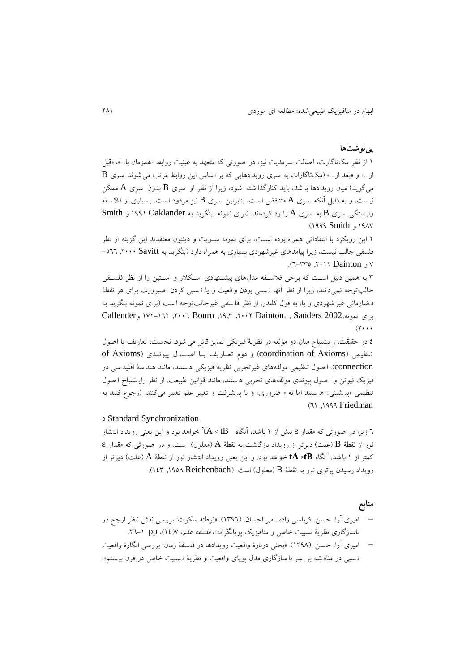# **پینوشتها**

9 از نظر مکتاگارت، اصالت سرمديت نیز، در صورتی که متعهد به عینیت روابط »همزمان با...«، »قب  $\, {\bf B} \,$ از...» و «بعد از...» (مک $\,$ تاگارات به سری رویدادهایی که بر اساس این روابط مرتب می شوند سری میگويد) میان رويدادها با شد، بايد کنارگذا شته شود، زيرا از نظر او سری B بدون سری A ممکن نیست، و به دلیل آنکه سری A متناقض است، بنابراین سری B نیز مردود است. بسیاری از فلاسفه واب ستگی سری B به سری A را رد کردهاند. )برای نمونه بنگريد به Oaklander 9119 و Smith ۱۹۸۷ و ۱۹۹۹ Smith).

2 اين رويکرد با انتقاداتی همراه بوده اسفت، برای نمونه سفويت و دينتون معتقدند اين گزينه از نظر فلسفی جالب نیست، زیرا پیامدهای غیرشهودی بسیاری به همراه دارد (بنگرید به Savitt ۲۰۰۰ ,۲۰۰۰ ,۵٦٦  $\mathcal{X}$ و Dainton ۲۰۱۲, ه۳۳-۰۲.

۳ به همین دلیل است که برخی فلاسفه مدلهای پیشنهادی اسکلار و استین را از نظر فلسفی جالب توجه نمیدانند، زیرا از نظر أنها نـسبی بودن واقعیت و یا نـسبی کردن صیرورت برای هر نقطهٔ فضازمانی غیر شهودی و يا، به قول کلندر، از نظر فلسفی غیرجالبتوجه ا ست (برای نمونه بنگرید به Callenderو 932-962 ,2006 Bourn ،91,8 ,2002 Dainton، ، Sanders 2002،نمونه برای  $(7 \cdots)$ 

٤ در حقیقت، رايشنباخ ميان دو مؤلفه در نظرية فيزيکی تمايز قائل می شود. نخست، تعاريف يا اصول of Axioms) و دوم تعاريف يا اصول پيوندی (of Axioms و دوم تعاريف يا اصول پيون connection). ا صول تنظیمی مولفههای غیرتجربی نظریهٔ فیزیکی هستند، مانند هند سهٔ اقلید سی در فیزیک نیوتن و ا صول پیوندی مولفههای تجربی هستند، مانند قوانین طبیعت. از نظر رایشنباخ ا صول تنظیمی «پی شینی» ه ستند اما نه « ضروری» و با پی شرفت و تغییر علم تغییر می کنند. (رجوع کنید به (٦١, ١٩٩٩ Friedman

#### 5 Standard Synchronization

6 زيرا در صورتی که مقدار ɛ بیش از 9 باشد، آنگاه tB > tA 'خواهد بود و اين يعنی رويداد انتشار نور از نقطهٔ B(علت) ديرتر از رويداد بازگشت به نقطهٔ A (معلول) است. و در صورتی که مقدار ɛ کمتر از 9 با شد، آنگاه **tB <tA** خواهد بود. و اين يعنی رويداد انت شار نور از نقطة A( علت( ديرتر از رويداد رسيدن پرتوي نور به نقطة B (معلول) است. (۱۶۳٫۱۹۵۸ Reichenbach ).

# **منابع**

- امیری آرا، حسن . کرباسی زاده، امیر احسان . )9816(. »توطئة سکوت : بررسی نقش ناظر ارجح در ناسازگاری نظريهٔ نسبيت خاص و متافيزيک پويانگرانه»، *فلسفه علم*، ١٤)٧. pp. ١-٢٦.
- امیری آرا، حسن .(۱۳۹۸). «بحثی دربارۀ واقعیت رویدادها در فلسفۀ زمان: بررسی انگارۀ واقعیت ن سبی در مناق شه بر سر نا سازگاری مدل پويای واقعیت و نظرية ن سبیت خاص در قرن بی س تم«،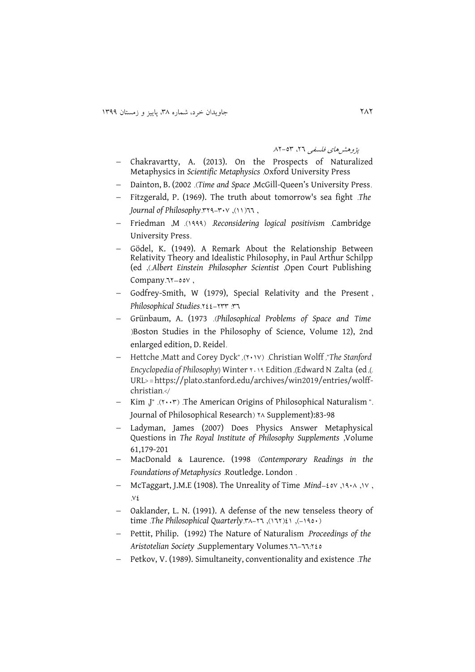پژوهشهای فلسفی ۲٦، ۵۳-۸۲

- Chakravartty, A. (2013). On the Prospects of Naturalized Metaphysics in *Scientific Metaphysics* .Oxford University Press
- Dainton, B. (2002 .)*Time and Space* ,McGill-Queen's University Press.
- Fitzgerald, P. (1969). The truth about tomorrow's sea fight .*The Journal of Philosophy.* ٣٢٩-٣٠٧, (١١)
- Friedman ,M .)9111( .*Reconsidering logical positivism* .Cambridge University Press.
- Gödel, K. (1949). A Remark About the Relationship Between Relativity Theory and Idealistic Philosophy, in Paul Arthur Schilpp (ed ,).*Albert Einstein* :*Philosopher Scientist* ,Open Court Publishing Company. 11-00V,
- Godfrey-Smith, W (1979), Special Relativity and the Present, *Philosophical Studies*.222-288 :86
- Grünbaum, A. (1973 .)*Philosophical Problems of Space and Time* )Boston Studies in the Philosophy of Science, Volume 12), 2nd enlarged edition, D. Reidel.
- Hettche ,Matt and Corey Dyck" ,)2093( .Christian Wolff ,"*The Stanford Encyclopedia* of *Philosophy*) Winter  $\cdot \cdot \cdot \cdot$  Edition ,(Edward N .Zalta (ed ,(.) URL< =https://plato.stanford.edu/archives/win2019/entries/wolffchristian.>/
- Kim  $J^*$  .( $\cdots$ ) The American Origins of Philosophical Naturalism ". Journal of Philosophical Research) \*^ Supplement):83-98
- Ladyman, James (2007) Does Physics Answer Metaphysical Questions in *The Royal Institute of Philosophy Supplements* ,Volume 61,179-201
- MacDonald & Laurence. (1998 )*Contemporary Readings in the Foundations of Metaphysics* .Routledge. London .
- McTaggart, J.M.E (1908). The Unreality of Time Mind-20V, 1910, 1V,  $\vee$
- Oaklander, L. N. (1991). A defense of the new tenseless theory of time *.The Philosophical Quarterly.* $A - B$ <sup>(117)</sup>, (117) $\ell$ ), (190.)
- Pettit, Philip. (1992) The Nature of Naturalism .*Proceedings of the Aristotelian Society* ,Supplementary Volumes.66-66:225
- Petkov, V. (1989). Simultaneity, conventionality and existence .*The*